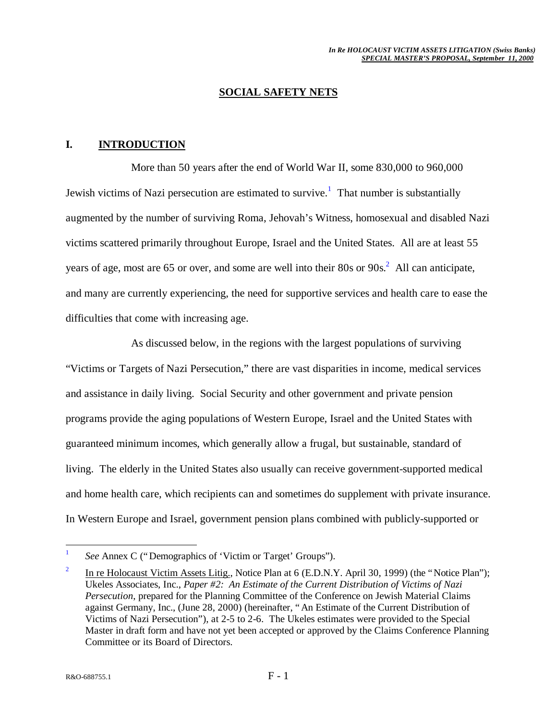#### **SOCIAL SAFETY NETS**

#### **I. INTRODUCTION**

More than 50 years after the end of World War II, some 830,000 to 960,000 Jewish victims of Nazi persecution are estimated to survive.<sup>1</sup> That number is substantially augmented by the number of surviving Roma, Jehovah's Witness, homosexual and disabled Nazi victims scattered primarily throughout Europe, Israel and the United States. All are at least 55 years of age, most are 65 or over, and some are well into their 80s or  $90s^2$ . All can anticipate, and many are currently experiencing, the need for supportive services and health care to ease the difficulties that come with increasing age.

As discussed below, in the regions with the largest populations of surviving "Victims or Targets of Nazi Persecution," there are vast disparities in income, medical services and assistance in daily living. Social Security and other government and private pension programs provide the aging populations of Western Europe, Israel and the United States with guaranteed minimum incomes, which generally allow a frugal, but sustainable, standard of living. The elderly in the United States also usually can receive government-supported medical and home health care, which recipients can and sometimes do supplement with private insurance. In Western Europe and Israel, government pension plans combined with publicly-supported or

1

<sup>1</sup> *See* Annex C ("Demographics of 'Victim or Target' Groups").

<sup>2</sup> In re Holocaust Victim Assets Litig., Notice Plan at 6 (E.D.N.Y. April 30, 1999) (the "Notice Plan"); Ukeles Associates, Inc., *Paper #2: An Estimate of the Current Distribution of Victims of Nazi Persecution*, prepared for the Planning Committee of the Conference on Jewish Material Claims against Germany, Inc., (June 28, 2000) (hereinafter, "An Estimate of the Current Distribution of Victims of Nazi Persecution"), at 2-5 to 2-6. The Ukeles estimates were provided to the Special Master in draft form and have not yet been accepted or approved by the Claims Conference Planning Committee or its Board of Directors.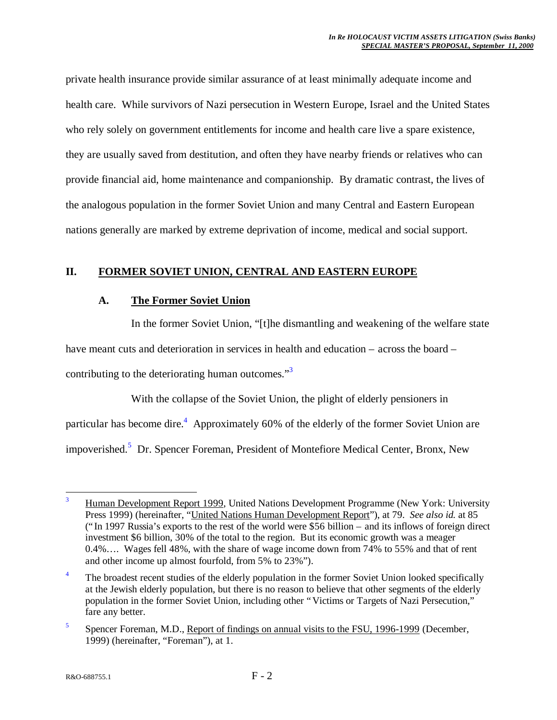private health insurance provide similar assurance of at least minimally adequate income and health care. While survivors of Nazi persecution in Western Europe, Israel and the United States who rely solely on government entitlements for income and health care live a spare existence, they are usually saved from destitution, and often they have nearby friends or relatives who can provide financial aid, home maintenance and companionship. By dramatic contrast, the lives of the analogous population in the former Soviet Union and many Central and Eastern European nations generally are marked by extreme deprivation of income, medical and social support.

## **II. FORMER SOVIET UNION, CENTRAL AND EASTERN EUROPE**

#### **A. The Former Soviet Union**

In the former Soviet Union, "[t]he dismantling and weakening of the welfare state

have meant cuts and deterioration in services in health and education – across the board –

contributing to the deteriorating human outcomes."<sup>3</sup>

With the collapse of the Soviet Union, the plight of elderly pensioners in particular has become dire.<sup>4</sup> Approximately 60% of the elderly of the former Soviet Union are impoverished.<sup>5</sup> Dr. Spencer Foreman, President of Montefiore Medical Center, Bronx, New

<sup>1</sup> <sup>3</sup> Human Development Report 1999, United Nations Development Programme (New York: University Press 1999) (hereinafter, "United Nations Human Development Report"), at 79. *See also id.* at 85 ("In 1997 Russia's exports to the rest of the world were \$56 billion – and its inflows of foreign direct investment \$6 billion, 30% of the total to the region. But its economic growth was a meager 0.4%… . Wages fell 48%, with the share of wage income down from 74% to 55% and that of rent and other income up almost fourfold, from 5% to 23%").

<sup>&</sup>lt;sup>4</sup> The broadest recent studies of the elderly population in the former Soviet Union looked specifically at the Jewish elderly population, but there is no reason to believe that other segments of the elderly population in the former Soviet Union, including other "Victims or Targets of Nazi Persecution," fare any better.

<sup>5</sup> Spencer Foreman, M.D., Report of findings on annual visits to the FSU, 1996-1999 (December, 1999) (hereinafter, "Foreman"), at 1.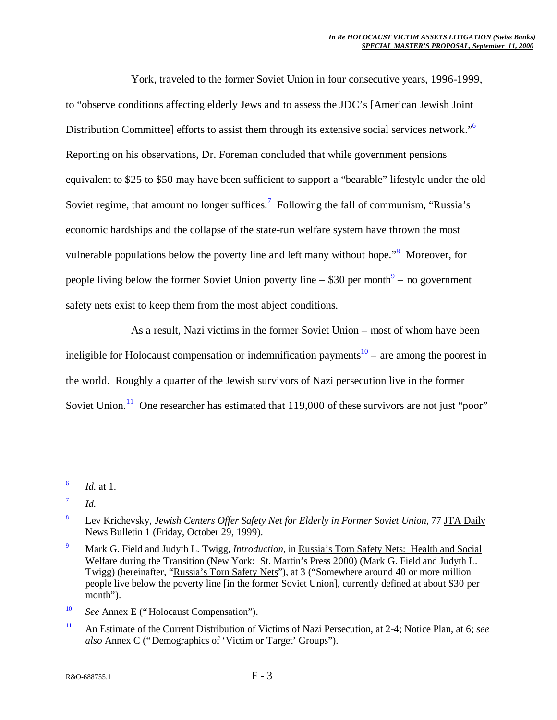York, traveled to the former Soviet Union in four consecutive years, 1996-1999, to "observe conditions affecting elderly Jews and to assess the JDC's [American Jewish Joint Distribution Committee] efforts to assist them through its extensive social services network."<sup>6</sup> Reporting on his observations, Dr. Foreman concluded that while government pensions equivalent to \$25 to \$50 may have been sufficient to support a "bearable" lifestyle under the old Soviet regime, that amount no longer suffices.<sup>7</sup> Following the fall of communism, "Russia's economic hardships and the collapse of the state-run welfare system have thrown the most vulnerable populations below the poverty line and left many without hope."<sup>8</sup> Moreover, for people living below the former Soviet Union poverty line  $-$  \$30 per month<sup>9</sup>  $-$  no government safety nets exist to keep them from the most abject conditions.

As a result, Nazi victims in the former Soviet Union – most of whom have been ineligible for Holocaust compensation or indemnification payments<sup>10</sup> – are among the poorest in the world. Roughly a quarter of the Jewish survivors of Nazi persecution live in the former Soviet Union.<sup>11</sup> One researcher has estimated that  $119,000$  of these survivors are not just "poor"

- <sup>10</sup> *See* Annex E ("Holocaust Compensation").
- <sup>11</sup> An Estimate of the Current Distribution of Victims of Nazi Persecution, at 2-4; Notice Plan, at 6; *see also* Annex C ("Demographics of 'Victim or Target' Groups").

<sup>-&</sup>lt;br>6 *Id.* at 1.

<sup>7</sup> *Id.*

<sup>8</sup> Lev Krichevsky, *Jewish Centers Offer Safety Net for Elderly in Former Soviet Union*, 77 JTA Daily News Bulletin 1 (Friday, October 29, 1999).

<sup>9</sup> Mark G. Field and Judyth L. Twigg, *Introduction*, in Russia's Torn Safety Nets: Health and Social Welfare during the Transition (New York: St. Martin's Press 2000) (Mark G. Field and Judyth L. Twigg) (hereinafter, "Russia's Torn Safety Nets"), at 3 ("Somewhere around 40 or more million people live below the poverty line [in the former Soviet Union], currently defined at about \$30 per month").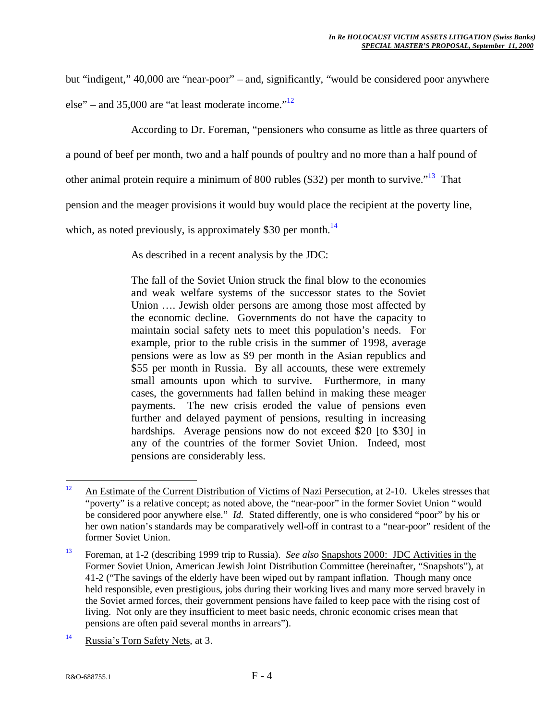but "indigent," 40,000 are "near-poor" – and, significantly, "would be considered poor anywhere

else" – and 35,000 are "at least moderate income." $12$ 

According to Dr. Foreman, "pensioners who consume as little as three quarters of

a pound of beef per month, two and a half pounds of poultry and no more than a half pound of

other animal protein require a minimum of 800 rubles (\$32) per month to survive."<sup>13</sup> That

pension and the meager provisions it would buy would place the recipient at the poverty line,

which, as noted previously, is approximately \$30 per month.<sup>14</sup>

As described in a recent analysis by the JDC:

The fall of the Soviet Union struck the final blow to the economies and weak welfare systems of the successor states to the Soviet Union .... Jewish older persons are among those most affected by the economic decline. Governments do not have the capacity to maintain social safety nets to meet this population's needs. For example, prior to the ruble crisis in the summer of 1998, average pensions were as low as \$9 per month in the Asian republics and \$55 per month in Russia. By all accounts, these were extremely small amounts upon which to survive. Furthermore, in many cases, the governments had fallen behind in making these meager payments. The new crisis eroded the value of pensions even further and delayed payment of pensions, resulting in increasing hardships. Average pensions now do not exceed \$20 [to \$30] in any of the countries of the former Soviet Union. Indeed, most pensions are considerably less.

<sup>14</sup> Russia's Torn Safety Nets, at 3.

 $12$ An Estimate of the Current Distribution of Victims of Nazi Persecution, at 2-10. Ukeles stresses that "poverty" is a relative concept; as noted above, the "near-poor" in the former Soviet Union "would be considered poor anywhere else." *Id.* Stated differently, one is who considered "poor" by his or her own nation's standards may be comparatively well-off in contrast to a "near-poor" resident of the former Soviet Union.

<sup>13</sup> Foreman, at 1-2 (describing 1999 trip to Russia). *See also* Snapshots 2000: JDC Activities in the Former Soviet Union, American Jewish Joint Distribution Committee (hereinafter, "Snapshots"), at 41-2 ("The savings of the elderly have been wiped out by rampant inflation. Though many once held responsible, even prestigious, jobs during their working lives and many more served bravely in the Soviet armed forces, their government pensions have failed to keep pace with the rising cost of living. Not only are they insufficient to meet basic needs, chronic economic crises mean that pensions are often paid several months in arrears").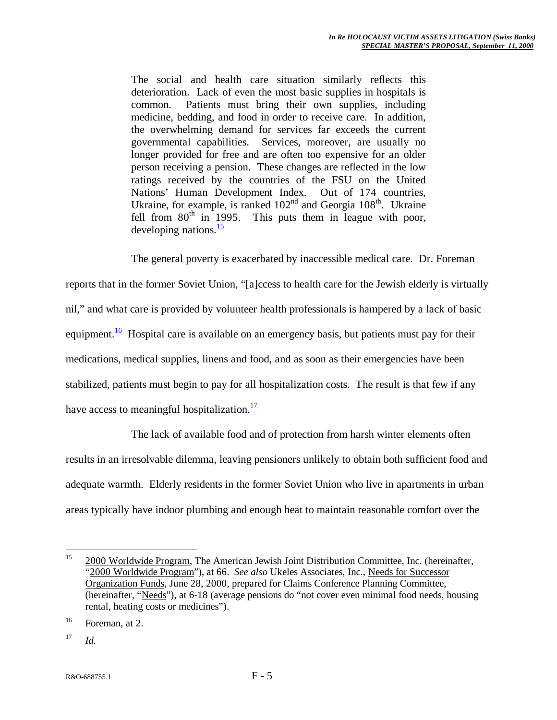The social and health care situation similarly reflects this deterioration. Lack of even the most basic supplies in hospitals is common. Patients must bring their own supplies, including medicine, bedding, and food in order to receive care. In addition, the overwhelming demand for services far exceeds the current governmental capabilities. Services, moreover, are usually no longer provided for free and are often too expensive for an older person receiving a pension. These changes are reflected in the low ratings received by the countries of the FSU on the United Nations' Human Development Index. Out of 174 countries, Ukraine, for example, is ranked  $102<sup>nd</sup>$  and Georgia  $108<sup>th</sup>$ . Ukraine fell from  $80<sup>th</sup>$  in 1995. This puts them in league with poor, This puts them in league with poor, developing nations.<sup>15</sup>

The general poverty is exacerbated by inaccessible medical care. Dr. Foreman

reports that in the former Soviet Union, "[a]ccess to health care for the Jewish elderly is virtually nil," and what care is provided by volunteer health professionals is hampered by a lack of basic equipment.<sup>16</sup> Hospital care is available on an emergency basis, but patients must pay for their medications, medical supplies, linens and food, and as soon as their emergencies have been stabilized, patients must begin to pay for all hospitalization costs. The result is that few if any have access to meaningful hospitalization.<sup>17</sup>

The lack of available food and of protection from harsh winter elements often results in an irresolvable dilemma, leaving pensioners unlikely to obtain both sufficient food and adequate warmth. Elderly residents in the former Soviet Union who live in apartments in urban areas typically have indoor plumbing and enough heat to maintain reasonable comfort over the

 $17$  *Id.* 

 $15$ <sup>15</sup> 2000 Worldwide Program, The American Jewish Joint Distribution Committee, Inc. (hereinafter, "2000 Worldwide Program"), at 66. *See also* Ukeles Associates, Inc., Needs for Successor Organization Funds, June 28, 2000, prepared for Claims Conference Planning Committee, (hereinafter, "Needs"), at 6-18 (average pensions do "not cover even minimal food needs, housing rental, heating costs or medicines").

 $16$  Foreman, at 2.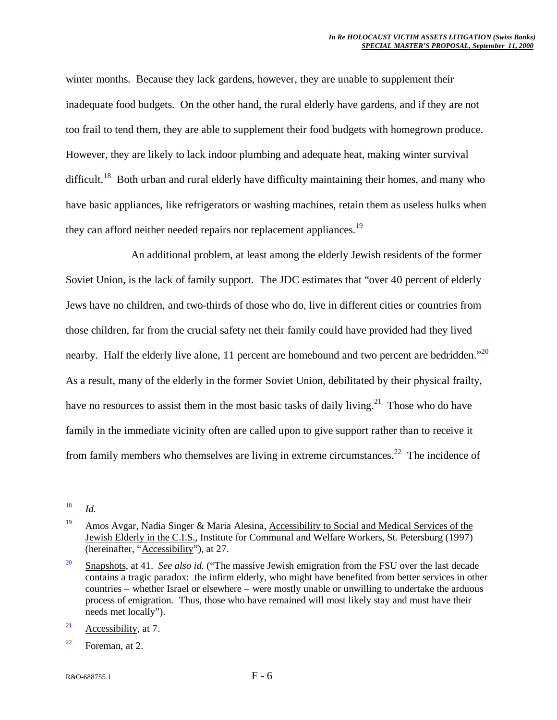winter months. Because they lack gardens, however, they are unable to supplement their inadequate food budgets. On the other hand, the rural elderly have gardens, and if they are not too frail to tend them, they are able to supplement their food budgets with homegrown produce. However, they are likely to lack indoor plumbing and adequate heat, making winter survival difficult.<sup>18</sup> Both urban and rural elderly have difficulty maintaining their homes, and many who have basic appliances, like refrigerators or washing machines, retain them as useless hulks when they can afford neither needed repairs nor replacement appliances.<sup>19</sup>

An additional problem, at least among the elderly Jewish residents of the former Soviet Union, is the lack of family support. The JDC estimates that "over 40 percent of elderly Jews have no children, and two-thirds of those who do, live in different cities or countries from those children, far from the crucial safety net their family could have provided had they lived nearby. Half the elderly live alone, 11 percent are homebound and two percent are bedridden."<sup>20</sup> As a result, many of the elderly in the former Soviet Union, debilitated by their physical frailty, have no resources to assist them in the most basic tasks of daily living.<sup>21</sup> Those who do have family in the immediate vicinity often are called upon to give support rather than to receive it from family members who themselves are living in extreme circumstances.<sup>22</sup> The incidence of

<sup>18</sup> *Id.* 

<sup>&</sup>lt;sup>19</sup> Amos Avgar, Nadia Singer & Maria Alesina, Accessibility to Social and Medical Services of the Jewish Elderly in the C.I.S., Institute for Communal and Welfare Workers, St. Petersburg (1997) (hereinafter, "Accessibility"), at 27.

<sup>20</sup> Snapshots, at 41. *See also id.* ("The massive Jewish emigration from the FSU over the last decade contains a tragic paradox: the infirm elderly, who might have benefited from better services in other countries – whether Israel or elsewhere – were mostly unable or unwilling to undertake the arduous process of emigration. Thus, those who have remained will most likely stay and must have their needs met locally").

<sup>&</sup>lt;sup>21</sup> Accessibility, at 7.

 $22$  Foreman, at 2.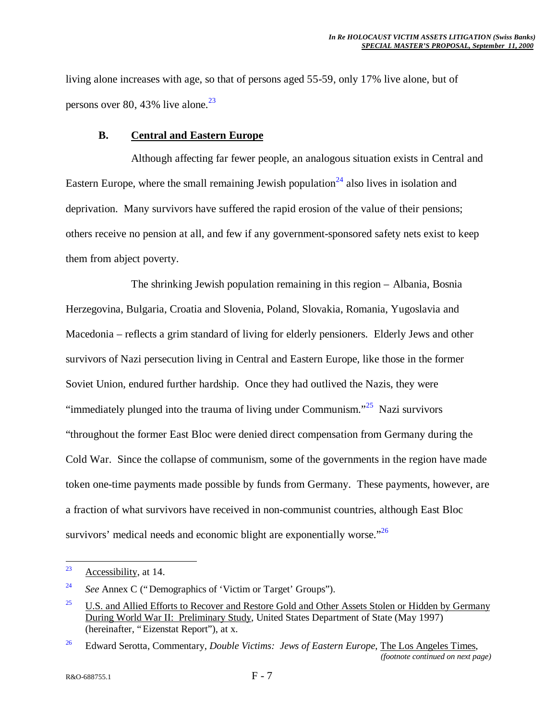living alone increases with age, so that of persons aged 55-59, only 17% live alone, but of persons over 80, 43% live alone. $^{23}$ 

#### **B. Central and Eastern Europe**

Although affecting far fewer people, an analogous situation exists in Central and Eastern Europe, where the small remaining Jewish population<sup>24</sup> also lives in isolation and deprivation. Many survivors have suffered the rapid erosion of the value of their pensions; others receive no pension at all, and few if any government-sponsored safety nets exist to keep them from abject poverty.

The shrinking Jewish population remaining in this region – Albania, Bosnia Herzegovina, Bulgaria, Croatia and Slovenia, Poland, Slovakia, Romania, Yugoslavia and Macedonia – reflects a grim standard of living for elderly pensioners. Elderly Jews and other survivors of Nazi persecution living in Central and Eastern Europe, like those in the former Soviet Union, endured further hardship. Once they had outlived the Nazis, they were "immediately plunged into the trauma of living under Communism."<sup>25</sup> Nazi survivors "throughout the former East Bloc were denied direct compensation from Germany during the Cold War. Since the collapse of communism, some of the governments in the region have made token one-time payments made possible by funds from Germany. These payments, however, are a fraction of what survivors have received in non-communist countries, although East Bloc survivors' medical needs and economic blight are exponentially worse."<sup>26</sup>

<sup>23</sup> Accessibility, at 14.

<sup>24</sup> *See* Annex C ("Demographics of 'Victim or Target' Groups").

<sup>&</sup>lt;sup>25</sup> U.S. and Allied Efforts to Recover and Restore Gold and Other Assets Stolen or Hidden by Germany During World War II: Preliminary Study, United States Department of State (May 1997) (hereinafter, "Eizenstat Report"), at x.

<sup>26</sup> Edward Serotta, Commentary, *Double Victims: Jews of Eastern Europe*, The Los Angeles Times, *(footnote continued on next page)*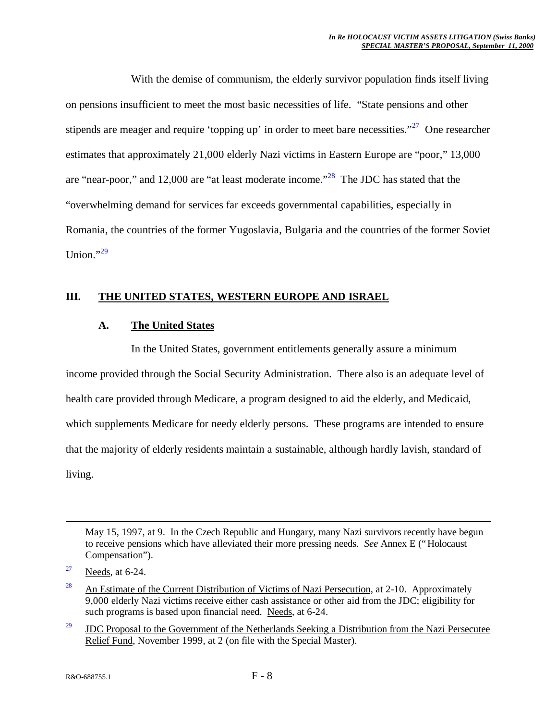With the demise of communism, the elderly survivor population finds itself living on pensions insufficient to meet the most basic necessities of life. "State pensions and other stipends are meager and require 'topping up' in order to meet bare necessities."<sup>27</sup> One researcher estimates that approximately 21,000 elderly Nazi victims in Eastern Europe are "poor," 13,000 are "near-poor," and 12,000 are "at least moderate income."<sup>28</sup> The JDC has stated that the "overwhelming demand for services far exceeds governmental capabilities, especially in Romania, the countries of the former Yugoslavia, Bulgaria and the countries of the former Soviet Union."29

## **III. THE UNITED STATES, WESTERN EUROPE AND ISRAEL**

#### **A. The United States**

In the United States, government entitlements generally assure a minimum income provided through the Social Security Administration. There also is an adequate level of health care provided through Medicare, a program designed to aid the elderly, and Medicaid, which supplements Medicare for needy elderly persons. These programs are intended to ensure that the majority of elderly residents maintain a sustainable, although hardly lavish, standard of living.

May 15, 1997, at 9. In the Czech Republic and Hungary, many Nazi survivors recently have begun to receive pensions which have alleviated their more pressing needs. *See* Annex E ("Holocaust Compensation").

1

<sup>29</sup> JDC Proposal to the Government of the Netherlands Seeking a Distribution from the Nazi Persecutee Relief Fund, November 1999, at 2 (on file with the Special Master).

 $27$  Needs, at 6-24.

<sup>&</sup>lt;sup>28</sup> An Estimate of the Current Distribution of Victims of Nazi Persecution, at 2-10. Approximately 9,000 elderly Nazi victims receive either cash assistance or other aid from the JDC; eligibility for such programs is based upon financial need. Needs, at 6-24.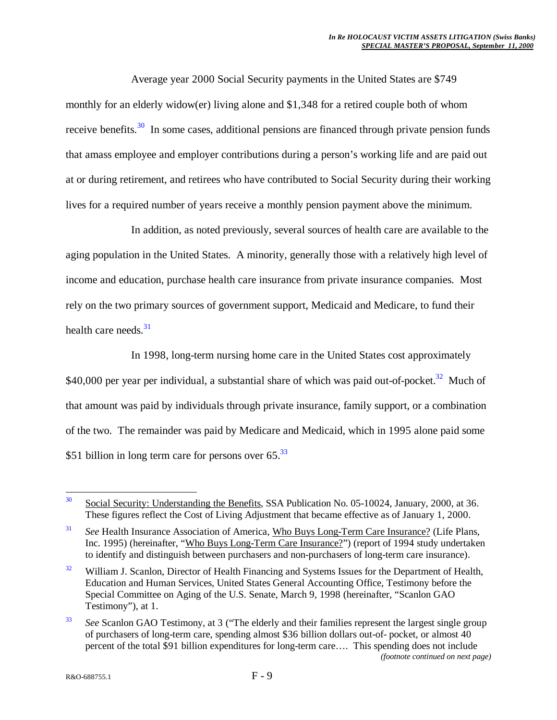Average year 2000 Social Security payments in the United States are \$749 monthly for an elderly widow(er) living alone and \$1,348 for a retired couple both of whom receive benefits.<sup>30</sup> In some cases, additional pensions are financed through private pension funds that amass employee and employer contributions during a person's working life and are paid out at or during retirement, and retirees who have contributed to Social Security during their working lives for a required number of years receive a monthly pension payment above the minimum.

In addition, as noted previously, several sources of health care are available to the aging population in the United States. A minority, generally those with a relatively high level of income and education, purchase health care insurance from private insurance companies. Most rely on the two primary sources of government support, Medicaid and Medicare, to fund their health care needs. $31$ 

In 1998, long-term nursing home care in the United States cost approximately \$40,000 per year per individual, a substantial share of which was paid out-of-pocket.<sup>32</sup> Much of that amount was paid by individuals through private insurance, family support, or a combination of the two. The remainder was paid by Medicare and Medicaid, which in 1995 alone paid some \$51 billion in long term care for persons over  $65<sup>33</sup>$ 

 $30^{\circ}$ <sup>30</sup> Social Security: Understanding the Benefits, SSA Publication No. 05-10024, January, 2000, at 36. These figures reflect the Cost of Living Adjustment that became effective as of January 1, 2000.

<sup>31</sup> *See* Health Insurance Association of America, Who Buys Long-Term Care Insurance? (Life Plans, Inc. 1995) (hereinafter, "Who Buys Long-Term Care Insurance?") (report of 1994 study undertaken to identify and distinguish between purchasers and non-purchasers of long-term care insurance).

<sup>&</sup>lt;sup>32</sup> William J. Scanlon, Director of Health Financing and Systems Issues for the Department of Health, Education and Human Services, United States General Accounting Office, Testimony before the Special Committee on Aging of the U.S. Senate, March 9, 1998 (hereinafter, "Scanlon GAO Testimony"), at 1.

<sup>33</sup> *See* Scanlon GAO Testimony, at 3 ("The elderly and their families represent the largest single group of purchasers of long-term care, spending almost \$36 billion dollars out-of- pocket, or almost 40 percent of the total \$91 billion expenditures for long-term care… . This spending does not include *(footnote continued on next page)*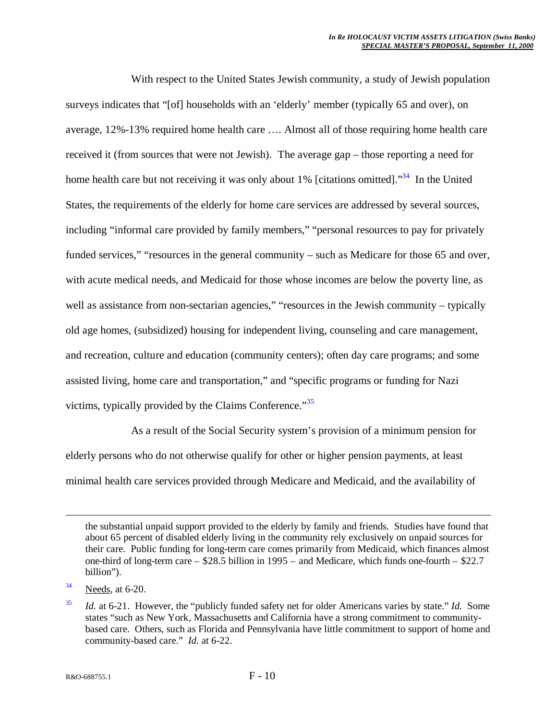With respect to the United States Jewish community, a study of Jewish population surveys indicates that "[of] households with an 'elderly' member (typically 65 and over), on average, 12%-13% required home health care … . Almost all of those requiring home health care received it (from sources that were not Jewish). The average gap – those reporting a need for home health care but not receiving it was only about 1% [citations omitted]."<sup>34</sup> In the United States, the requirements of the elderly for home care services are addressed by several sources, including "informal care provided by family members," "personal resources to pay for privately funded services," "resources in the general community – such as Medicare for those 65 and over, with acute medical needs, and Medicaid for those whose incomes are below the poverty line, as well as assistance from non-sectarian agencies," "resources in the Jewish community – typically old age homes, (subsidized) housing for independent living, counseling and care management, and recreation, culture and education (community centers); often day care programs; and some assisted living, home care and transportation," and "specific programs or funding for Nazi victims, typically provided by the Claims Conference."<sup>35</sup>

As a result of the Social Security system's provision of a minimum pension for elderly persons who do not otherwise qualify for other or higher pension payments, at least minimal health care services provided through Medicare and Medicaid, and the availability of

1

the substantial unpaid support provided to the elderly by family and friends. Studies have found that about 65 percent of disabled elderly living in the community rely exclusively on unpaid sources for their care. Public funding for long-term care comes primarily from Medicaid, which finances almost one-third of long-term care – \$28.5 billion in 1995 – and Medicare, which funds one-fourth – \$22.7 billion").

 $34$  Needs, at 6-20.

<sup>35</sup> *Id.* at 6-21. However, the "publicly funded safety net for older Americans varies by state." *Id.* Some states "such as New York, Massachusetts and California have a strong commitment to communitybased care. Others, such as Florida and Pennsylvania have little commitment to support of home and community-based care." *Id.* at 6-22.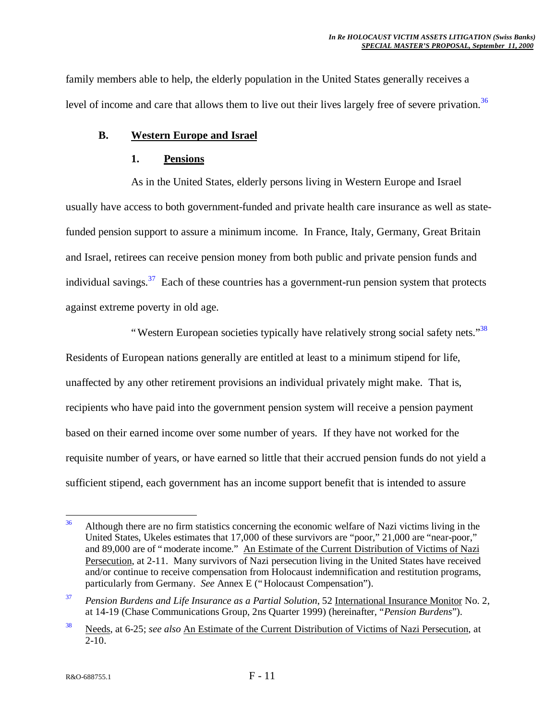family members able to help, the elderly population in the United States generally receives a level of income and care that allows them to live out their lives largely free of severe privation.<sup>36</sup>

## **B. Western Europe and Israel**

#### **1. Pensions**

As in the United States, elderly persons living in Western Europe and Israel usually have access to both government-funded and private health care insurance as well as statefunded pension support to assure a minimum income. In France, Italy, Germany, Great Britain and Israel, retirees can receive pension money from both public and private pension funds and individual savings.  $37$  Each of these countries has a government-run pension system that protects against extreme poverty in old age.

"Western European societies typically have relatively strong social safety nets."<sup>38</sup> Residents of European nations generally are entitled at least to a minimum stipend for life, unaffected by any other retirement provisions an individual privately might make. That is, recipients who have paid into the government pension system will receive a pension payment based on their earned income over some number of years. If they have not worked for the requisite number of years, or have earned so little that their accrued pension funds do not yield a sufficient stipend, each government has an income support benefit that is intended to assure

 $36$ <sup>36</sup> Although there are no firm statistics concerning the economic welfare of Nazi victims living in the United States, Ukeles estimates that 17,000 of these survivors are "poor," 21,000 are "near-poor," and 89,000 are of "moderate income." An Estimate of the Current Distribution of Victims of Nazi Persecution, at 2-11. Many survivors of Nazi persecution living in the United States have received and/or continue to receive compensation from Holocaust indemnification and restitution programs, particularly from Germany. *See* Annex E ("Holocaust Compensation").

<sup>37</sup> *Pension Burdens and Life Insurance as a Partial Solution*, 52 International Insurance Monitor No. 2, at 14-19 (Chase Communications Group, 2ns Quarter 1999) (hereinafter, "*Pension Burdens*").

<sup>38</sup> Needs, at 6-25; *see also* An Estimate of the Current Distribution of Victims of Nazi Persecution, at  $2 - 10$ .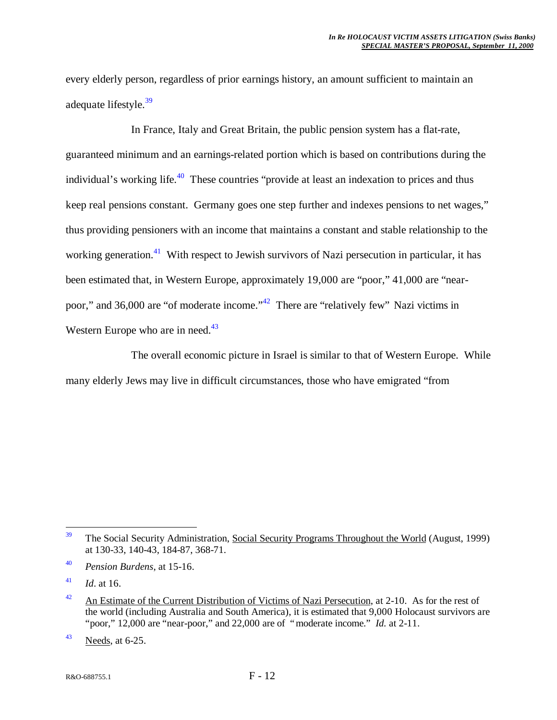every elderly person, regardless of prior earnings history, an amount sufficient to maintain an adequate lifestyle.<sup>39</sup>

In France, Italy and Great Britain, the public pension system has a flat-rate, guaranteed minimum and an earnings-related portion which is based on contributions during the individual's working life. $40$  These countries "provide at least an indexation to prices and thus keep real pensions constant. Germany goes one step further and indexes pensions to net wages," thus providing pensioners with an income that maintains a constant and stable relationship to the working generation.<sup>41</sup> With respect to Jewish survivors of Nazi persecution in particular, it has been estimated that, in Western Europe, approximately 19,000 are "poor," 41,000 are "nearpoor," and 36,000 are "of moderate income."<sup>42</sup> There are "relatively few" Nazi victims in Western Europe who are in need.<sup>43</sup>

The overall economic picture in Israel is similar to that of Western Europe. While many elderly Jews may live in difficult circumstances, those who have emigrated "from

<sup>41</sup> *Id*. at 16.

 $43$  Needs, at 6-25.

<sup>39</sup> <sup>39</sup> The Social Security Administration, Social Security Programs Throughout the World (August, 1999) at 130-33, 140-43, 184-87, 368-71.

<sup>40</sup> *Pension Burdens*, at 15-16.

 $42$  An Estimate of the Current Distribution of Victims of Nazi Persecution, at 2-10. As for the rest of the world (including Australia and South America), it is estimated that 9,000 Holocaust survivors are "poor," 12,000 are "near-poor," and 22,000 are of "moderate income." *Id.* at 2-11.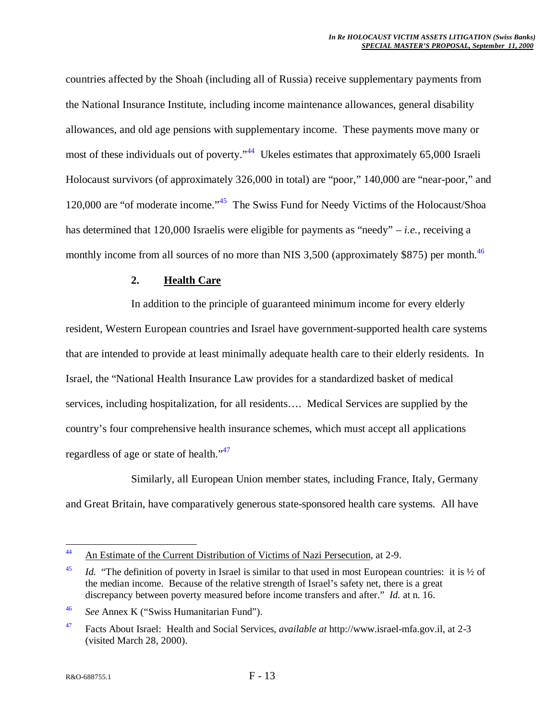countries affected by the Shoah (including all of Russia) receive supplementary payments from the National Insurance Institute, including income maintenance allowances, general disability allowances, and old age pensions with supplementary income. These payments move many or most of these individuals out of poverty."<sup>44</sup> Ukeles estimates that approximately 65,000 Israeli Holocaust survivors (of approximately 326,000 in total) are "poor," 140,000 are "near-poor," and 120,000 are "of moderate income."<sup>45</sup> The Swiss Fund for Needy Victims of the Holocaust/Shoa has determined that 120,000 Israelis were eligible for payments as "needy" – *i.e.*, receiving a monthly income from all sources of no more than NIS  $3,500$  (approximately \$875) per month.<sup>46</sup>

#### **2. Health Care**

In addition to the principle of guaranteed minimum income for every elderly resident, Western European countries and Israel have government-supported health care systems that are intended to provide at least minimally adequate health care to their elderly residents. In Israel, the "National Health Insurance Law provides for a standardized basket of medical services, including hospitalization, for all residents… . Medical Services are supplied by the country's four comprehensive health insurance schemes, which must accept all applications regardless of age or state of health."<sup>47</sup>

Similarly, all European Union member states, including France, Italy, Germany and Great Britain, have comparatively generous state-sponsored health care systems. All have

 $44$ An Estimate of the Current Distribution of Victims of Nazi Persecution, at 2-9.

<sup>&</sup>lt;sup>45</sup> *Id.* "The definition of poverty in Israel is similar to that used in most European countries: it is  $\frac{1}{2}$  of the median income. Because of the relative strength of Israel's safety net, there is a great discrepancy between poverty measured before income transfers and after." *Id.* at n. 16.

<sup>46</sup> *See* Annex K ("Swiss Humanitarian Fund").

<sup>47</sup> Facts About Israel: Health and Social Services, *available at* http://www.israel-mfa.gov.il, at 2-3 (visited March 28, 2000).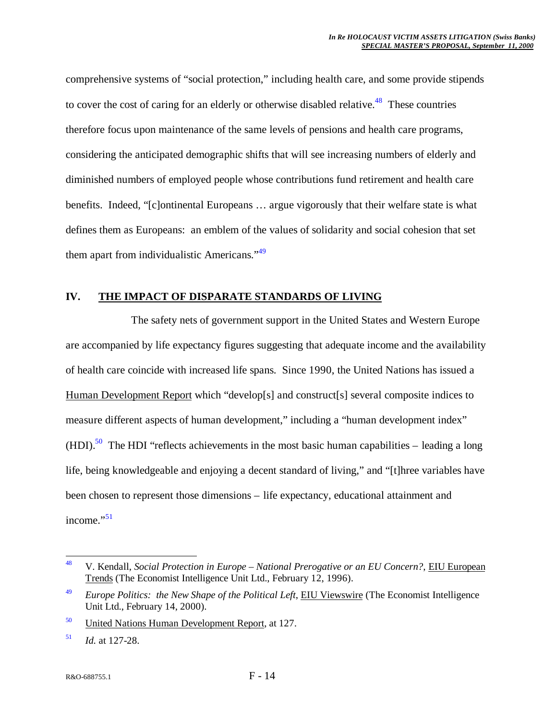comprehensive systems of "social protection," including health care, and some provide stipends to cover the cost of caring for an elderly or otherwise disabled relative.<sup>48</sup> These countries therefore focus upon maintenance of the same levels of pensions and health care programs, considering the anticipated demographic shifts that will see increasing numbers of elderly and diminished numbers of employed people whose contributions fund retirement and health care benefits. Indeed, "[c]ontinental Europeans … argue vigorously that their welfare state is what defines them as Europeans: an emblem of the values of solidarity and social cohesion that set them apart from individualistic Americans."<sup>49</sup>

# **IV. THE IMPACT OF DISPARATE STANDARDS OF LIVING**

The safety nets of government support in the United States and Western Europe are accompanied by life expectancy figures suggesting that adequate income and the availability of health care coincide with increased life spans. Since 1990, the United Nations has issued a Human Development Report which "develop[s] and construct[s] several composite indices to measure different aspects of human development," including a "human development index"  $(HDI)$ <sup>50</sup> The HDI "reflects achievements in the most basic human capabilities – leading a long life, being knowledgeable and enjoying a decent standard of living," and "[t]hree variables have been chosen to represent those dimensions – life expectancy, educational attainment and income."<sup>51</sup>

<sup>48</sup> <sup>48</sup> V. Kendall, *Social Protection in Europe – National Prerogative or an EU Concern?*, EIU European Trends (The Economist Intelligence Unit Ltd., February 12, 1996).

<sup>&</sup>lt;sup>49</sup> *Europe Politics: the New Shape of the Political Left*, EIU Viewswire (The Economist Intelligence Unit Ltd., February 14, 2000).

<sup>&</sup>lt;sup>50</sup> United Nations Human Development Report, at 127.

<sup>51</sup> *Id.* at 127-28.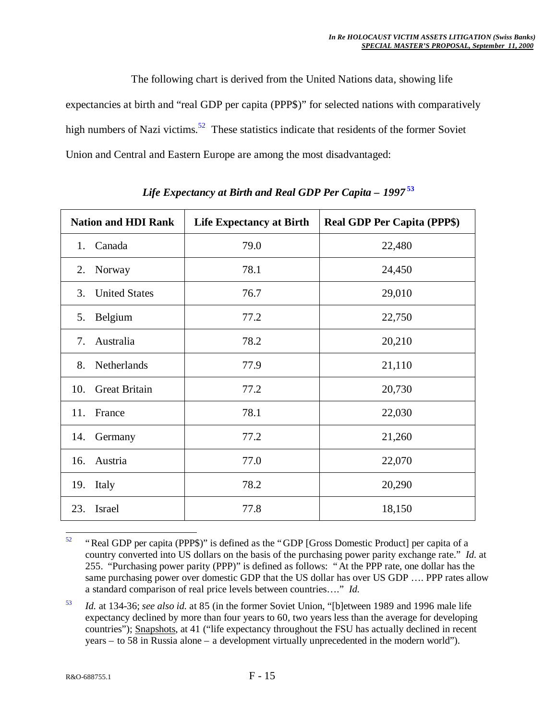The following chart is derived from the United Nations data, showing life expectancies at birth and "real GDP per capita (PPP\$)" for selected nations with comparatively high numbers of Nazi victims.<sup>52</sup> These statistics indicate that residents of the former Soviet Union and Central and Eastern Europe are among the most disadvantaged:

| <b>Nation and HDI Rank</b>  | <b>Life Expectancy at Birth</b> | <b>Real GDP Per Capita (PPP\$)</b> |
|-----------------------------|---------------------------------|------------------------------------|
| Canada<br>1.                | 79.0                            | 22,480                             |
| 2.<br>Norway                | 78.1                            | 24,450                             |
| <b>United States</b><br>3.  | 76.7                            | 29,010                             |
| Belgium<br>5.               | 77.2                            | 22,750                             |
| Australia<br>7.             | 78.2                            | 20,210                             |
| Netherlands<br>8.           | 77.9                            | 21,110                             |
| <b>Great Britain</b><br>10. | 77.2                            | 20,730                             |
| France<br>11.               | 78.1                            | 22,030                             |
| 14.<br>Germany              | 77.2                            | 21,260                             |
| Austria<br>16.              | 77.0                            | 22,070                             |
| Italy<br>19.                | 78.2                            | 20,290                             |
| Israel<br>23.               | 77.8                            | 18,150                             |

*Life Expectancy at Birth and Real GDP Per Capita – 1997* **<sup>53</sup>**

<sup>53</sup> *Id.* at 134-36; *see also id.* at 85 (in the former Soviet Union, "[b]etween 1989 and 1996 male life expectancy declined by more than four years to 60, two years less than the average for developing countries"); Snapshots, at 41 ("life expectancy throughout the FSU has actually declined in recent years – to 58 in Russia alone – a development virtually unprecedented in the modern world").

<sup>52</sup> <sup>52</sup> "Real GDP per capita (PPP\$)" is defined as the "GDP [Gross Domestic Product] per capita of a country converted into US dollars on the basis of the purchasing power parity exchange rate." *Id.* at 255. "Purchasing power parity (PPP)" is defined as follows: "At the PPP rate, one dollar has the same purchasing power over domestic GDP that the US dollar has over US GDP .... PPP rates allow a standard comparison of real price levels between countries… ." *Id.*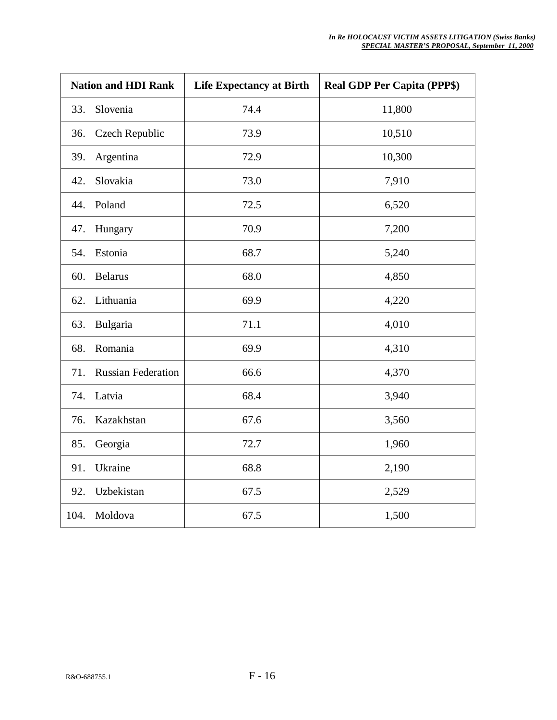| <b>Nation and HDI Rank</b> |                           | <b>Life Expectancy at Birth</b> | <b>Real GDP Per Capita (PPP\$)</b> |
|----------------------------|---------------------------|---------------------------------|------------------------------------|
| 33.                        | Slovenia                  | 74.4                            | 11,800                             |
| 36.                        | Czech Republic            | 73.9                            | 10,510                             |
| 39.                        | Argentina                 | 72.9                            | 10,300                             |
| 42.                        | Slovakia                  | 73.0                            | 7,910                              |
| 44.                        | Poland                    | 72.5                            | 6,520                              |
| 47.                        | Hungary                   | 70.9                            | 7,200                              |
| 54.                        | Estonia                   | 68.7                            | 5,240                              |
| 60.                        | <b>Belarus</b>            | 68.0                            | 4,850                              |
| 62.                        | Lithuania                 | 69.9                            | 4,220                              |
| 63.                        | Bulgaria                  | 71.1                            | 4,010                              |
| 68.                        | Romania                   | 69.9                            | 4,310                              |
| 71.                        | <b>Russian Federation</b> | 66.6                            | 4,370                              |
| 74.                        | Latvia                    | 68.4                            | 3,940                              |
| 76.                        | Kazakhstan                | 67.6                            | 3,560                              |
| 85.                        | Georgia                   | 72.7                            | 1,960                              |
| 91.                        | Ukraine                   | 68.8                            | 2,190                              |
| 92.                        | Uzbekistan                | 67.5                            | 2,529                              |
| 104.                       | Moldova                   | 67.5                            | 1,500                              |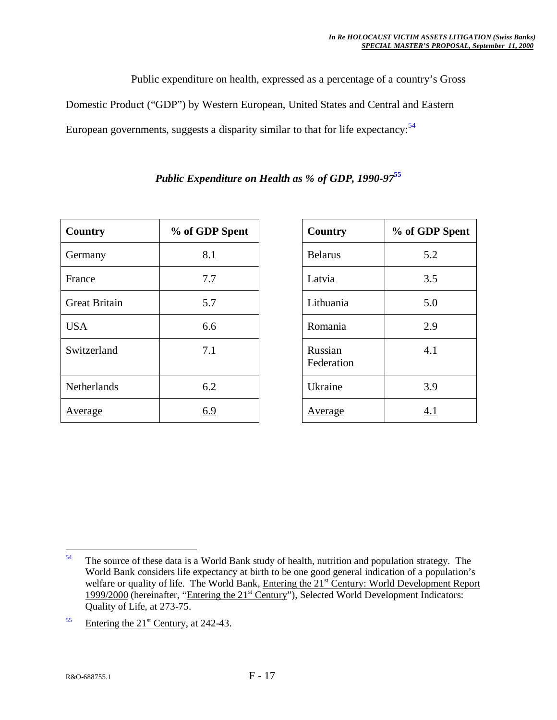Public expenditure on health, expressed as a percentage of a country's Gross

Domestic Product ("GDP") by Western European, United States and Central and Eastern

European governments, suggests a disparity similar to that for life expectancy:<sup>54</sup>

| Country              | % of GDP Spent |
|----------------------|----------------|
| Germany              | 8.1            |
| France               | 7.7            |
| <b>Great Britain</b> | 5.7            |
| <b>USA</b>           | 6.6            |
| Switzerland          | 7.1            |
| Netherlands          | 6.2            |
| <b>Average</b>       | 6.9            |

# *Public Expenditure on Health as % of GDP, 1990-97***<sup>55</sup>**

| <b>Country</b>        | % of GDP Spent |
|-----------------------|----------------|
| <b>Belarus</b>        | 5.2            |
| Latvia                | 3.5            |
| Lithuania             | 5.0            |
| Romania               | 2.9            |
| Russian<br>Federation | 4.1            |
| Ukraine               | 3.9            |
| <u>Average</u>        | 4.1            |

<sup>54</sup> The source of these data is a World Bank study of health, nutrition and population strategy. The World Bank considers life expectancy at birth to be one good general indication of a population's welfare or quality of life. The World Bank, Entering the 21<sup>st</sup> Century: World Development Report 1999/2000 (hereinafter, "Entering the 21<sup>st</sup> Century"), Selected World Development Indicators: Quality of Life, at 273-75.

 $55$  Entering the 21<sup>st</sup> Century, at 242-43.